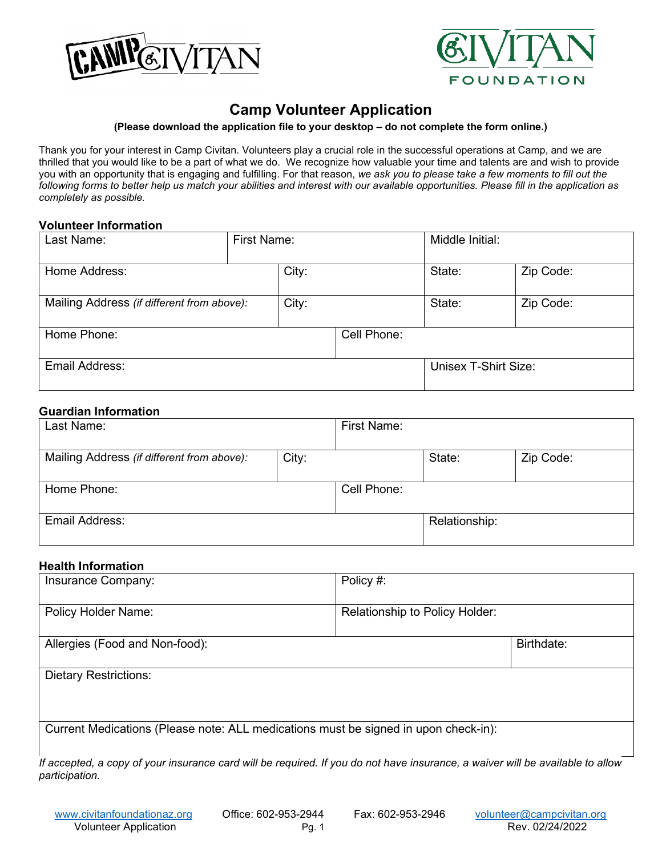



# **Camp Volunteer Application**

#### **(Please download the application file to your desktop – do not complete the form online.)**

Thank you for your interest in Camp Civitan. Volunteers play a crucial role in the successful operations at Camp, and we are thrilled that you would like to be a part of what we do. We recognize how valuable your time and talents are and wish to provide you with an opportunity that is engaging and fulfilling. For that reason, *we ask you to please take a few moments to fill out the following forms to better help us match your abilities and interest with our available opportunities. Please fill in the application as completely as possible.*

#### **Volunteer Information**

| Last Name:                                          | First Name: |       | Middle Initial:      |           |           |
|-----------------------------------------------------|-------------|-------|----------------------|-----------|-----------|
| Home Address:                                       |             | City: |                      | State:    | Zip Code: |
| Mailing Address (if different from above):<br>City: |             |       | State:               | Zip Code: |           |
| Home Phone:                                         |             |       | Cell Phone:          |           |           |
| Email Address:                                      |             |       | Unisex T-Shirt Size: |           |           |

#### **Guardian Information**

| Last Name:                                 |       | <b>First Name:</b> |               |           |
|--------------------------------------------|-------|--------------------|---------------|-----------|
| Mailing Address (if different from above): | City: |                    | State:        | Zip Code: |
| Home Phone:                                |       | Cell Phone:        |               |           |
| Email Address:                             |       |                    | Relationship: |           |

#### **Health Information**

| Insurance Company:                                                                  | Policy #:                      |            |  |  |
|-------------------------------------------------------------------------------------|--------------------------------|------------|--|--|
| <b>Policy Holder Name:</b>                                                          | Relationship to Policy Holder: |            |  |  |
| Allergies (Food and Non-food):                                                      |                                | Birthdate: |  |  |
| <b>Dietary Restrictions:</b>                                                        |                                |            |  |  |
|                                                                                     |                                |            |  |  |
| Current Medications (Please note: ALL medications must be signed in upon check-in): |                                |            |  |  |
|                                                                                     |                                |            |  |  |

*If accepted, a copy of your insurance card will be required. If you do not have insurance, a waiver will be available to allow participation.*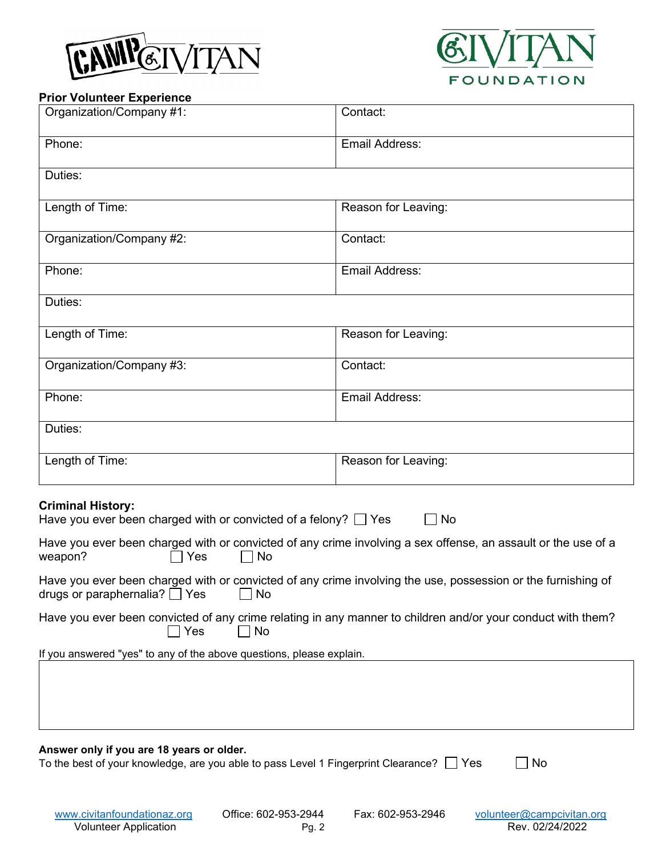



### **Prior Volunteer Experience**

| Organization/Company #1:                                                                                                                            | Contact:            |  |  |  |
|-----------------------------------------------------------------------------------------------------------------------------------------------------|---------------------|--|--|--|
| Phone:                                                                                                                                              | Email Address:      |  |  |  |
| Duties:                                                                                                                                             |                     |  |  |  |
| Length of Time:                                                                                                                                     | Reason for Leaving: |  |  |  |
| Organization/Company #2:                                                                                                                            | Contact:            |  |  |  |
| Phone:                                                                                                                                              | Email Address:      |  |  |  |
| Duties:                                                                                                                                             |                     |  |  |  |
| Length of Time:                                                                                                                                     | Reason for Leaving: |  |  |  |
| Organization/Company #3:                                                                                                                            | Contact:            |  |  |  |
| Phone:                                                                                                                                              | Email Address:      |  |  |  |
| Duties:                                                                                                                                             |                     |  |  |  |
| Length of Time:                                                                                                                                     | Reason for Leaving: |  |  |  |
| <b>Criminal History:</b>                                                                                                                            |                     |  |  |  |
| Have you ever been charged with or convicted of a felony? $\Box$ Yes                                                                                | <b>No</b>           |  |  |  |
| Have you ever been charged with or convicted of any crime involving a sex offense, an assault or the use of a<br>Yes<br>No<br>weapon?               |                     |  |  |  |
| Have you ever been charged with or convicted of any crime involving the use, possession or the furnishing of<br>drugs or paraphernalia? □ Yes<br>No |                     |  |  |  |
| Have you ever been convicted of any crime relating in any manner to children and/or your conduct with them?<br>Yes<br>No                            |                     |  |  |  |
| If you answered "yes" to any of the above questions, please explain.                                                                                |                     |  |  |  |
|                                                                                                                                                     |                     |  |  |  |
|                                                                                                                                                     |                     |  |  |  |
| Answer only if you are 18 years or older.                                                                                                           |                     |  |  |  |
| To the best of your knowledge, are you able to pass Level 1 Fingerprint Clearance? Thes<br>No                                                       |                     |  |  |  |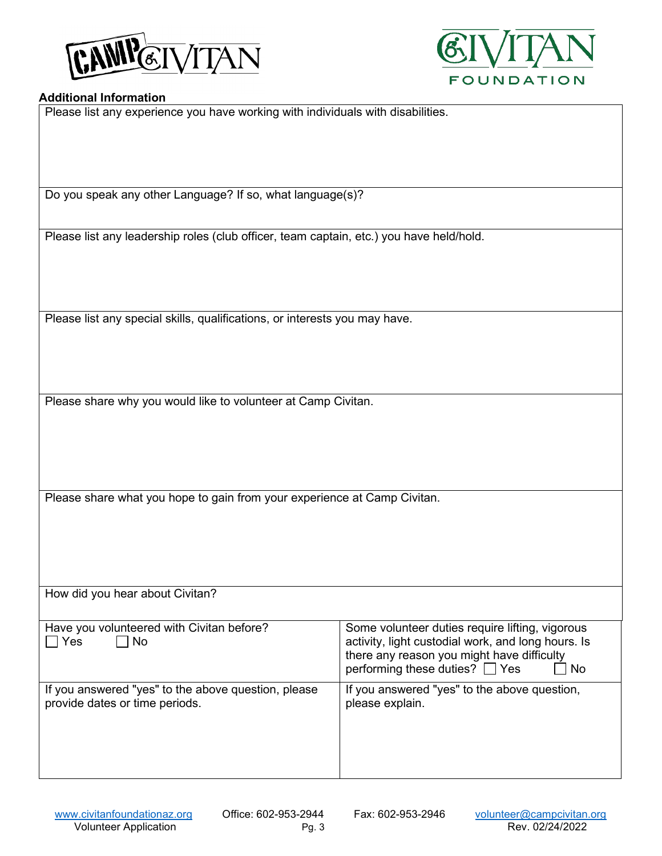



#### **Additional Information**

Please list any experience you have working with individuals with disabilities.

Do you speak any other Language? If so, what language(s)?

Please list any leadership roles (club officer, team captain, etc.) you have held/hold.

Please list any special skills, qualifications, or interests you may have.

Please share why you would like to volunteer at Camp Civitan.

Please share what you hope to gain from your experience at Camp Civitan.

| How did you hear about Civitan?                                                       |                                                                                                                                                                                              |
|---------------------------------------------------------------------------------------|----------------------------------------------------------------------------------------------------------------------------------------------------------------------------------------------|
| Have you volunteered with Civitan before?<br>$\sqsupset$ Yes<br>$\Box$ No             | Some volunteer duties require lifting, vigorous<br>activity, light custodial work, and long hours. Is<br>there any reason you might have difficulty<br>performing these duties? □ Yes<br>No. |
| If you answered "yes" to the above question, please<br>provide dates or time periods. | If you answered "yes" to the above question,<br>please explain.                                                                                                                              |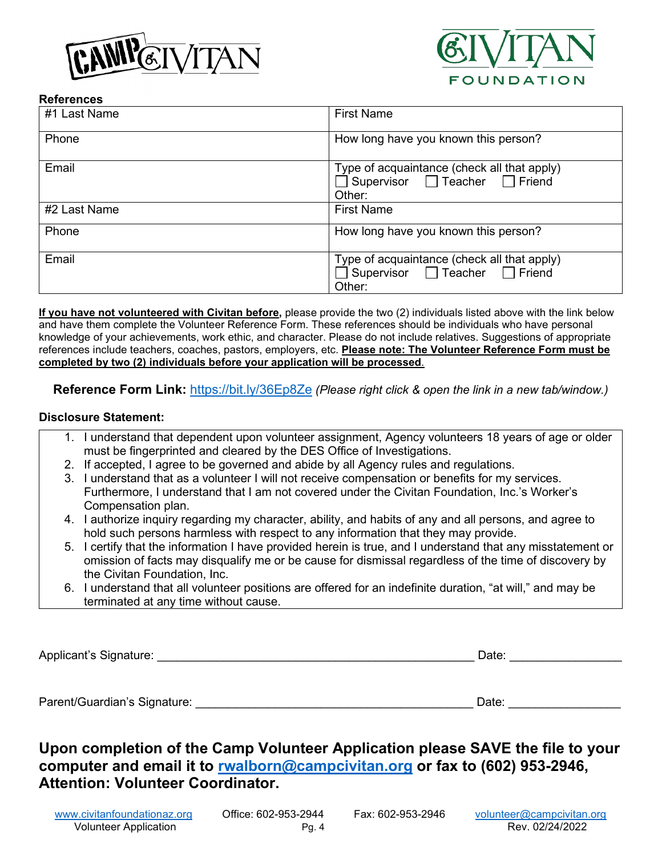



### **References**

| #1 Last Name | <b>First Name</b>                                                                        |
|--------------|------------------------------------------------------------------------------------------|
| Phone        | How long have you known this person?                                                     |
| Email        | Type of acquaintance (check all that apply)<br>Supervisor □ Teacher □ Friend<br>Other:   |
| #2 Last Name | <b>First Name</b>                                                                        |
| Phone        | How long have you known this person?                                                     |
| Email        | Type of acquaintance (check all that apply)<br>□ Supervisor □ Teacher □ Friend<br>Other: |

**If you have not volunteered with Civitan before,** please provide the two (2) individuals listed above with the link below and have them complete the Volunteer Reference Form. These references should be individuals who have personal knowledge of your achievements, work ethic, and character. Please do not include relatives. Suggestions of appropriate references include teachers, coaches, pastors, employers, etc. **Please note: The Volunteer Reference Form must be completed by two (2) individuals before your application will be processed**.

**Reference Form Link:** <https://bit.ly/36Ep8Ze> *(Please right click & open the link in a new tab/window.)* 

### **Disclosure Statement:**

- 1. I understand that dependent upon volunteer assignment, Agency volunteers 18 years of age or older must be fingerprinted and cleared by the DES Office of Investigations.
- 2. If accepted, I agree to be governed and abide by all Agency rules and regulations.
- 3. I understand that as a volunteer I will not receive compensation or benefits for my services. Furthermore, I understand that I am not covered under the Civitan Foundation, Inc.'s Worker's Compensation plan.
- 4. I authorize inquiry regarding my character, ability, and habits of any and all persons, and agree to hold such persons harmless with respect to any information that they may provide.
- 5. I certify that the information I have provided herein is true, and I understand that any misstatement or omission of facts may disqualify me or be cause for dismissal regardless of the time of discovery by the Civitan Foundation, Inc.
- 6. I understand that all volunteer positions are offered for an indefinite duration, "at will," and may be terminated at any time without cause.

Applicant's Signature: <br>
Applicant's Signature:

Parent/Guardian's Signature: \_\_\_\_\_\_\_\_\_\_\_\_\_\_\_\_\_\_\_\_\_\_\_\_\_\_\_\_\_\_\_\_\_\_\_\_\_\_\_\_\_\_ Date: \_\_\_\_\_\_\_\_\_\_\_\_\_\_\_\_\_

# **Upon completion of the Camp Volunteer Application please SAVE the file to your computer and email it to [rwalborn@campcivitan.org](mailto:rwalborn@campcivitan.org) or fax to (602) 953-2946, Attention: Volunteer Coordinator.**